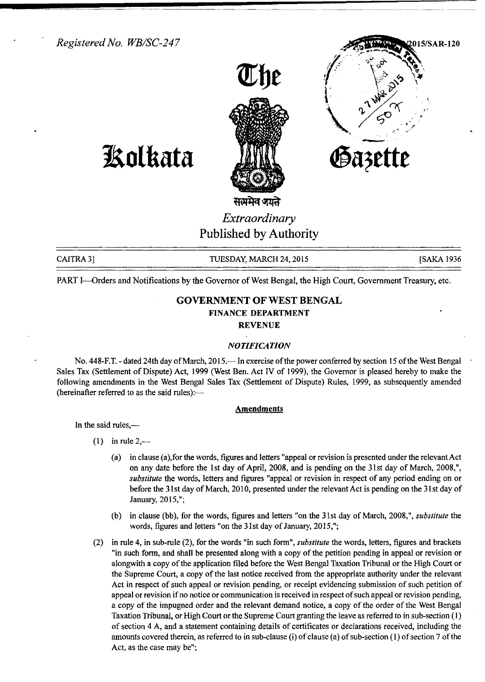*Registered No. WBISC-247*





**1!olkata**



CAITRA 3] TUESDAY, MARCH 24, 2015 [SAKA 1936]

PART I-Orders and Notifications by the Governor of West Bengal, the High Court, Government Treasury, etc.

# **GOVERNMENT OF WEST BENGAL FINANCE DEPARTMENT**

**REVENUE**

#### *NOTIFICATION*

No. 448-F.T. - dated 24th day of March, 2015.—In exercise of the power conferred by section 15 of the West Bengal Sales Tax (Settlement of Dispute) Act, 1999 (West Ben. Act IV of 1999), the Governor is pleased hereby to make the following amendments in the West Bengal Sales Tax (Settlement of Dispute) Rules, 1999, as subsequently amended (hereinafter referred to as the said rules):-

#### **Amendments**

In the said rules,—

- $(1)$  in rule 2,—
	- (a) in clause (a),for the words, figures and letters "appeal or revision is presented under the relevant Act on any date before the 1st day of April, 2008, and is pending on the 31st day of March, 2008,", *substitute* the words, letters and figures "appeal or revision in respect of any period ending on or before the 31st day of March, 2010, presented under the relevant Act is pending on the 31st day of January, 2015,";
	- (b) in clause (bb), for the words, figures and letters "on the 31st day of March, 2008,", *substitute* the words, figures and letters "on the 31st day of January, 2015,";
- (2) in rule 4, in sub-rule (2), for the words "in such form", *substitute* the words, letters, figures and brackets "in such form, and shall be presented along with a copy of the petition pending in appeal or revision or alongwith a copy of the application filed before the West Bengal Taxation Tribunal or the High Court or the Supreme Court, a copy of the last notice received from the appropriate authority under the relevant Act in respect of such appeal or revision pending, or receipt evidencing submission of such petition of appeal or revision if no notice or communication is received in respect of such appeal or revision pending, a copy of the impugned order and the relevant demand notice, a copy of the order of the West Bengal Taxation Tribunal, or High Court or the Supreme Court granting the leave as referred to in sub-section (1) of section 4 A, and a statement containing details of certificates or declarations received, including the amounts covered therein, as referred to in sub-clause (i) of clause (a) of sub-section (l) of section 7 ofthe Act, as the case may be";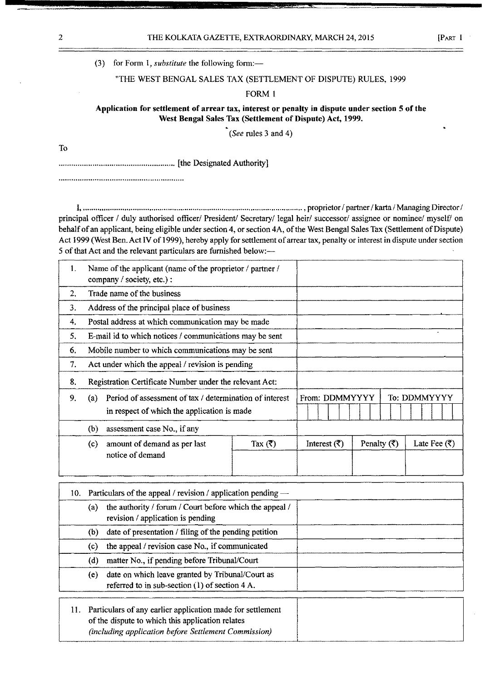### (3) for Form 1, *substitute* the following form:-

#### "THE WEST BENGAL SALES TAX (SETTLEMENT OF DISPUTE) RULES, 1999

### FORM 1

## Application for settlement of arrear tax, interest or penalty in dispute under section 5 of the West Bengal Sales Tax (Settlement of Dispute) Act, 1999.

*(See* rules 3 and 4)

To

....................................................... [the Designated Authority]

I, , proprietor / partner / karta / Managing Director / principal officer / duly authorised officer/ President/ Secretary/ legal heir/ successor/ assignee or nominee/ myself/ on behalf of an applicant, being eligible under section 4, or section 4A, of the West Bengal Sales Tax (Settlement of Dispute) Act 1999 (West Ben. Act IV of 1999), hereby apply for settlement of arrear tax, penalty or interest in dispute under section 5 of that Act and the relevant particulars are furnished below:-

| 1. | Name of the applicant (name of the proprietor / partner /<br>company / society, etc.) :                       |                    |                         |                         |                              |
|----|---------------------------------------------------------------------------------------------------------------|--------------------|-------------------------|-------------------------|------------------------------|
| 2. | Trade name of the business                                                                                    |                    |                         |                         |                              |
| 3. | Address of the principal place of business                                                                    |                    |                         |                         |                              |
| 4. | Postal address at which communication may be made                                                             |                    |                         |                         |                              |
| 5. | E-mail id to which notices / communications may be sent                                                       |                    |                         |                         | $\ddot{\phantom{a}}$         |
| 6. | Mobile number to which communications may be sent                                                             |                    |                         |                         |                              |
| 7. | Act under which the appeal / revision is pending                                                              |                    |                         |                         |                              |
| 8. | Registration Certificate Number under the relevant Act:                                                       |                    |                         |                         |                              |
| 9. | Period of assessment of tax / determination of interest<br>(a)<br>in respect of which the application is made | From: DDMMYYYY     |                         | To: DDMMYYYY            |                              |
|    | (b)<br>assessment case No., if any                                                                            |                    |                         |                         |                              |
|    | amount of demand as per last<br>(c)<br>notice of demand                                                       | Tax $(\vec{\tau})$ | Interest $(\vec{\tau})$ | Penalty $(\bar{\zeta})$ | Late Fee $(\overline{\tau})$ |

|     |     | 10. Particulars of the appeal / revision / application pending —                                               |  |
|-----|-----|----------------------------------------------------------------------------------------------------------------|--|
|     | (a) | the authority / forum / Court before which the appeal /<br>revision / application is pending                   |  |
|     | (b) | date of presentation / filing of the pending petition                                                          |  |
|     | (c) | the appeal / revision case No., if communicated                                                                |  |
|     | (d) | matter No., if pending before Tribunal/Court                                                                   |  |
|     | (e) | date on which leave granted by Tribunal/Court as<br>referred to in sub-section $(1)$ of section 4 A.           |  |
| 11. |     | Particulars of any earlier application made for settlement<br>of the dispute to which this application relates |  |

*(including application before Settlement Commission)*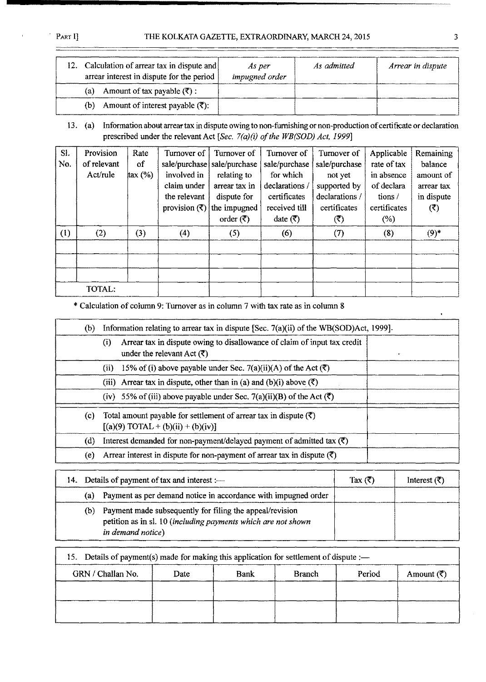## PART I] THE KOLKATA GAZETTE, EXTRAORDINARY, MARCH 24, 2015 3

| 12. | Calculation of arrear tax in dispute and<br>arrear interest in dispute for the period | As per<br>impugned order | As admitted | Arrear in dispute |
|-----|---------------------------------------------------------------------------------------|--------------------------|-------------|-------------------|
|     | Amount of tax payable $(\overline{\mathfrak{F}})$ :<br>(a)                            |                          |             |                   |
|     | Amount of interest payable $(\vec{\tau})$ :<br>(b)                                    |                          |             |                   |

13. (a) Information about arrear tax in dispute owing to non-furnishing or non-production of certificate or declaration prescribed under the relevant Act [Sec.  $7(a)(i)$  of the WB(SOD) Act, 1999]

| SI. | Provision   | Rate              | Turnover of                    | Turnover of                   | Turnover of                    | Turnover of            | Applicable   | Remaining  |
|-----|-------------|-------------------|--------------------------------|-------------------------------|--------------------------------|------------------------|--------------|------------|
| No. | of relevant | of                |                                | sale/purchase   sale/purchase | sale/purchase                  | sale/purchase          | rate of tax  | balance    |
|     | Act/rule    | $\frac{1}{2}$ (%) | involved in                    | relating to                   | for which                      | not yet                | in absence   | amount of  |
|     |             |                   | claim under                    | arrear tax in                 | declarations /                 | supported by           | of declara   | arrear tax |
|     |             |                   | the relevant                   | dispute for                   | certificates                   | declarations /         | tions/       | in dispute |
|     |             |                   | provision $(\overline{\zeta})$ | the impugned                  | received till                  | certificates           | certificates | (3)        |
|     |             |                   |                                | order $(\overline{\zeta})$    | date $(\overline{\mathbf{x}})$ | $(\tilde{\mathbf{c}})$ | $(\%)$       |            |
| (1) | (2)         | (3)               | (4)                            | (5)                           | (6)                            | (7)                    | (8)          | $(9)^*$    |
|     |             |                   |                                |                               |                                |                        |              |            |
|     |             |                   |                                |                               |                                |                        |              |            |
|     |             |                   |                                |                               |                                |                        |              |            |
|     | TOTAL:      |                   |                                |                               |                                |                        |              |            |

\* Calculation of column 9: Turnover as in column 7 with tax rate as in column 8

| (b)               | Information relating to arrear tax in dispute [Sec. $7(a)(ii)$ of the WB(SOD)Act, 1999].                                               |  |
|-------------------|----------------------------------------------------------------------------------------------------------------------------------------|--|
|                   | Arrear tax in dispute owing to disallowance of claim of input tax credit<br>$\left( i\right)$<br>under the relevant Act $(\vec{\tau})$ |  |
|                   | 15% of (i) above payable under Sec. 7(a)(ii)(A) of the Act $(\overline{\mathfrak{C}})$<br>(ii)                                         |  |
|                   | (iii) Arrear tax in dispute, other than in (a) and (b)(i) above $(\bar{\tau})$                                                         |  |
|                   | (iv) 55% of (iii) above payable under Sec. 7(a)(ii)(B) of the Act $(\vec{\tau})$                                                       |  |
| $\left( c\right)$ | Total amount payable for settlement of arrear tax in dispute $(\vec{\tau})$<br>$[(a)(9) TOTAL + (b)(ii) + (b)(iv)]$                    |  |
| (d)               | Interest demanded for non-payment/delayed payment of admitted tax $(\vec{\tau})$                                                       |  |
| (e)               | Arrear interest in dispute for non-payment of arrear tax in dispute $(\vec{\tau})$                                                     |  |

|     | 14. Details of payment of tax and interest :-                                                                                                  | Tax $(3)$ | Interest $(3)$ |
|-----|------------------------------------------------------------------------------------------------------------------------------------------------|-----------|----------------|
| (a) | Payment as per demand notice in accordance with impugned order                                                                                 |           |                |
| (b) | Payment made subsequently for filing the appeal/revision<br>petition as in sl. 10 (including payments which are not shown<br>in demand notice) |           |                |

| 15. Details of payment(s) made for making this application for settlement of dispute :- |      |      |               |        |                       |
|-----------------------------------------------------------------------------------------|------|------|---------------|--------|-----------------------|
| GRN / Challan No.                                                                       | Date | Bank | <b>Branch</b> | Period | Amount $(\vec{\tau})$ |
|                                                                                         |      |      |               |        |                       |
|                                                                                         |      |      |               |        |                       |
|                                                                                         |      |      |               |        |                       |